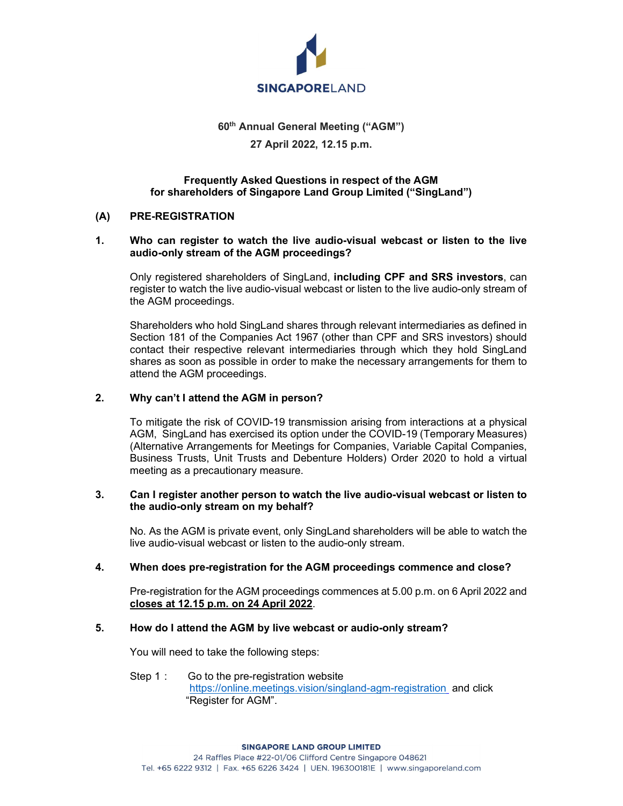

# 60th Annual General Meeting ("AGM") 27 April 2022, 12.15 p.m.

## Frequently Asked Questions in respect of the AGM for shareholders of Singapore Land Group Limited ("SingLand")

### (A) PRE-REGISTRATION

### 1. Who can register to watch the live audio-visual webcast or listen to the live audio-only stream of the AGM proceedings?

Only registered shareholders of SingLand, including CPF and SRS investors, can register to watch the live audio-visual webcast or listen to the live audio-only stream of the AGM proceedings.

Shareholders who hold SingLand shares through relevant intermediaries as defined in Section 181 of the Companies Act 1967 (other than CPF and SRS investors) should contact their respective relevant intermediaries through which they hold SingLand shares as soon as possible in order to make the necessary arrangements for them to attend the AGM proceedings.

### 2. Why can't I attend the AGM in person?

To mitigate the risk of COVID-19 transmission arising from interactions at a physical AGM, SingLand has exercised its option under the COVID-19 (Temporary Measures) (Alternative Arrangements for Meetings for Companies, Variable Capital Companies, Business Trusts, Unit Trusts and Debenture Holders) Order 2020 to hold a virtual meeting as a precautionary measure.

#### 3. Can I register another person to watch the live audio-visual webcast or listen to the audio-only stream on my behalf?

No. As the AGM is private event, only SingLand shareholders will be able to watch the live audio-visual webcast or listen to the audio-only stream.

#### 4. When does pre-registration for the AGM proceedings commence and close?

Pre-registration for the AGM proceedings commences at 5.00 p.m. on 6 April 2022 and closes at 12.15 p.m. on 24 April 2022.

#### 5. How do I attend the AGM by live webcast or audio-only stream?

You will need to take the following steps:

Step 1 : Go to the pre-registration website https://online.meetings.vision/singland-agm-registration and click "Register for AGM".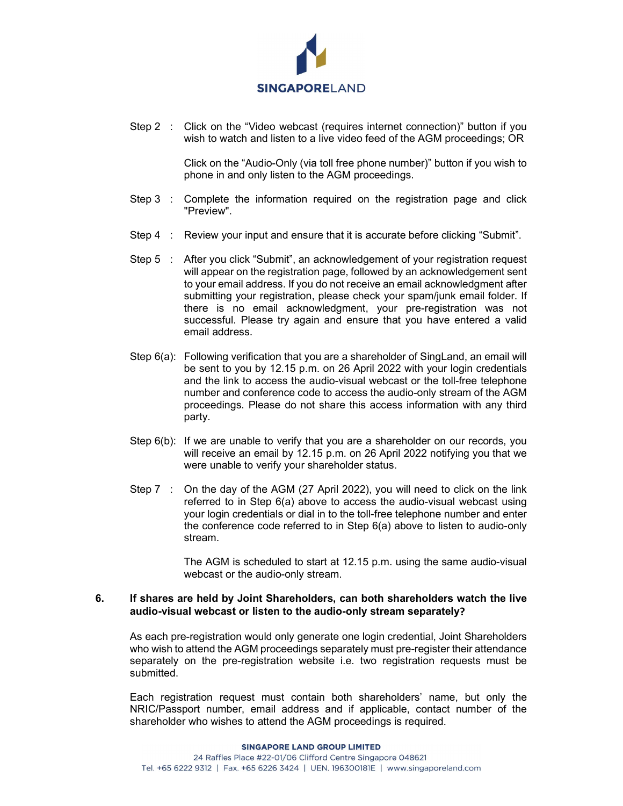

Step 2 : Click on the "Video webcast (requires internet connection)" button if you wish to watch and listen to a live video feed of the AGM proceedings; OR

> Click on the "Audio-Only (via toll free phone number)" button if you wish to phone in and only listen to the AGM proceedings.

- Step 3 : Complete the information required on the registration page and click "Preview".
- Step 4 : Review your input and ensure that it is accurate before clicking "Submit".
- Step 5 : After you click "Submit", an acknowledgement of your registration request will appear on the registration page, followed by an acknowledgement sent to your email address. If you do not receive an email acknowledgment after submitting your registration, please check your spam/junk email folder. If there is no email acknowledgment, your pre-registration was not successful. Please try again and ensure that you have entered a valid email address.
- Step 6(a): Following verification that you are a shareholder of SingLand, an email will be sent to you by 12.15 p.m. on 26 April 2022 with your login credentials and the link to access the audio-visual webcast or the toll-free telephone number and conference code to access the audio-only stream of the AGM proceedings. Please do not share this access information with any third party.
- Step 6(b): If we are unable to verify that you are a shareholder on our records, you will receive an email by 12.15 p.m. on 26 April 2022 notifying you that we were unable to verify your shareholder status.
- Step 7 : On the day of the AGM (27 April 2022), you will need to click on the link referred to in Step 6(a) above to access the audio-visual webcast using your login credentials or dial in to the toll-free telephone number and enter the conference code referred to in Step 6(a) above to listen to audio-only stream.

 The AGM is scheduled to start at 12.15 p.m. using the same audio-visual webcast or the audio-only stream.

#### 6. If shares are held by Joint Shareholders, can both shareholders watch the live audio-visual webcast or listen to the audio-only stream separately?

As each pre-registration would only generate one login credential, Joint Shareholders who wish to attend the AGM proceedings separately must pre-register their attendance separately on the pre-registration website i.e. two registration requests must be submitted.

Each registration request must contain both shareholders' name, but only the NRIC/Passport number, email address and if applicable, contact number of the shareholder who wishes to attend the AGM proceedings is required.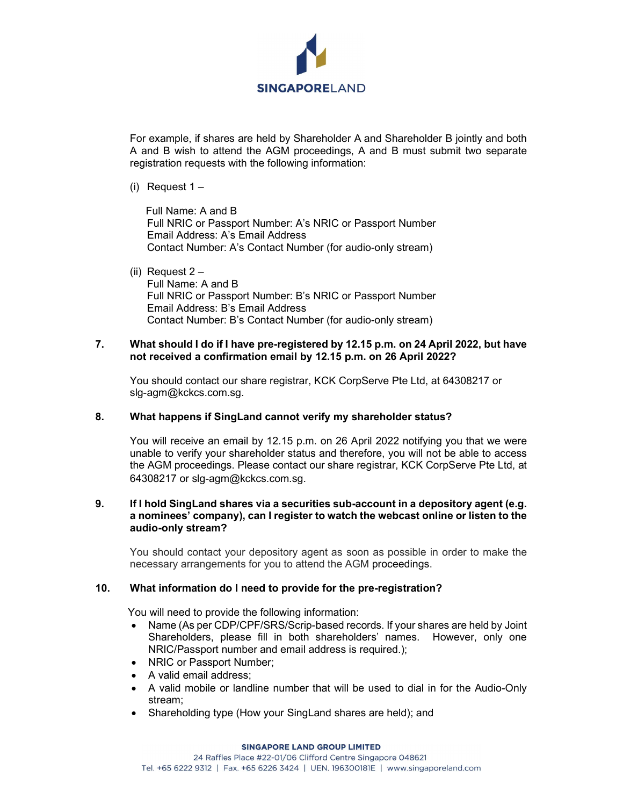

For example, if shares are held by Shareholder A and Shareholder B jointly and both A and B wish to attend the AGM proceedings, A and B must submit two separate registration requests with the following information:

(i) Request 1 –

 Full Name: A and B Full NRIC or Passport Number: A's NRIC or Passport Number Email Address: A's Email Address Contact Number: A's Contact Number (for audio-only stream)

(ii) Request 2 – Full Name: A and B Full NRIC or Passport Number: B's NRIC or Passport Number Email Address: B's Email Address Contact Number: B's Contact Number (for audio-only stream)

### 7. What should I do if I have pre-registered by 12.15 p.m. on 24 April 2022, but have not received a confirmation email by 12.15 p.m. on 26 April 2022?

You should contact our share registrar, KCK CorpServe Pte Ltd, at 64308217 or slg-agm@kckcs.com.sg.

## 8. What happens if SingLand cannot verify my shareholder status?

You will receive an email by 12.15 p.m. on 26 April 2022 notifying you that we were unable to verify your shareholder status and therefore, you will not be able to access the AGM proceedings. Please contact our share registrar, KCK CorpServe Pte Ltd, at 64308217 or slg-agm@kckcs.com.sg.

#### 9. If I hold SingLand shares via a securities sub-account in a depository agent (e.g. a nominees' company), can I register to watch the webcast online or listen to the audio-only stream?

You should contact your depository agent as soon as possible in order to make the necessary arrangements for you to attend the AGM proceedings.

## 10. What information do I need to provide for the pre-registration?

You will need to provide the following information:

- Name (As per CDP/CPF/SRS/Scrip-based records. If your shares are held by Joint Shareholders, please fill in both shareholders' names. However, only one NRIC/Passport number and email address is required.);
- NRIC or Passport Number;
- A valid email address:
- A valid mobile or landline number that will be used to dial in for the Audio-Only stream;
- Shareholding type (How your SingLand shares are held); and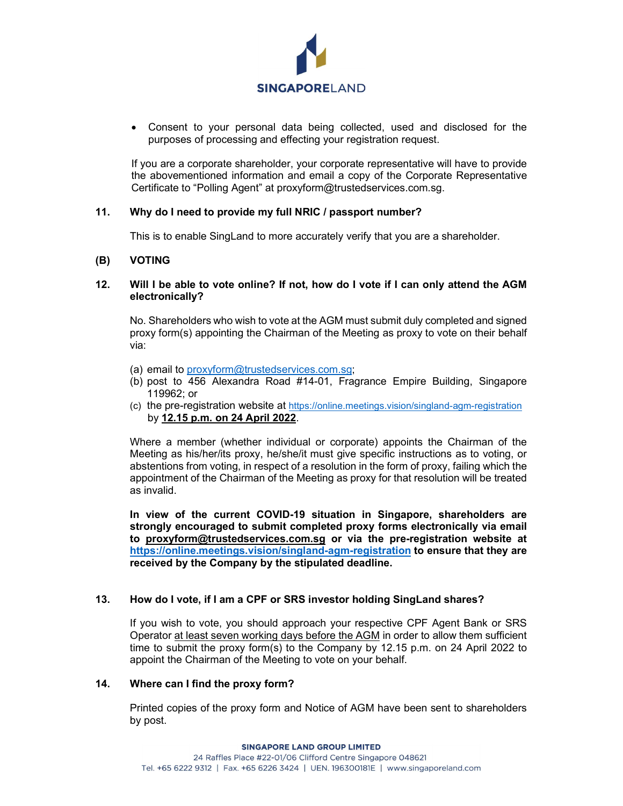

 Consent to your personal data being collected, used and disclosed for the purposes of processing and effecting your registration request.

If you are a corporate shareholder, your corporate representative will have to provide the abovementioned information and email a copy of the Corporate Representative Certificate to "Polling Agent" at proxyform@trustedservices.com.sg.

### 11. Why do I need to provide my full NRIC / passport number?

This is to enable SingLand to more accurately verify that you are a shareholder.

### (B) VOTING

#### 12. Will I be able to vote online? If not, how do I vote if I can only attend the AGM electronically?

No. Shareholders who wish to vote at the AGM must submit duly completed and signed proxy form(s) appointing the Chairman of the Meeting as proxy to vote on their behalf via:

- (a) email to proxyform@trustedservices.com.sg;
- (b) post to 456 Alexandra Road #14-01, Fragrance Empire Building, Singapore 119962; or
- (c) the pre-registration website at https://online.meetings.vision/singland-agm-registration by 12.15 p.m. on 24 April 2022. Where a member (whether individual or corporate) appoints the Chairman of the

Meeting as his/her/its proxy, he/she/it must give specific instructions as to voting, or abstentions from voting, in respect of a resolution in the form of proxy, failing which the appointment of the Chairman of the Meeting as proxy for that resolution will be treated as invalid.

In view of the current COVID-19 situation in Singapore, shareholders are strongly encouraged to submit completed proxy forms electronically via email to proxyform@trustedservices.com.sg or via the pre-registration website at https://online.meetings.vision/singland-agm-registration to ensure that they are received by the Company by the stipulated deadline.

#### 13. How do I vote, if I am a CPF or SRS investor holding SingLand shares?

If you wish to vote, you should approach your respective CPF Agent Bank or SRS Operator at least seven working days before the AGM in order to allow them sufficient time to submit the proxy form(s) to the Company by 12.15 p.m. on 24 April 2022 to appoint the Chairman of the Meeting to vote on your behalf.

### 14. Where can I find the proxy form?

Printed copies of the proxy form and Notice of AGM have been sent to shareholders by post.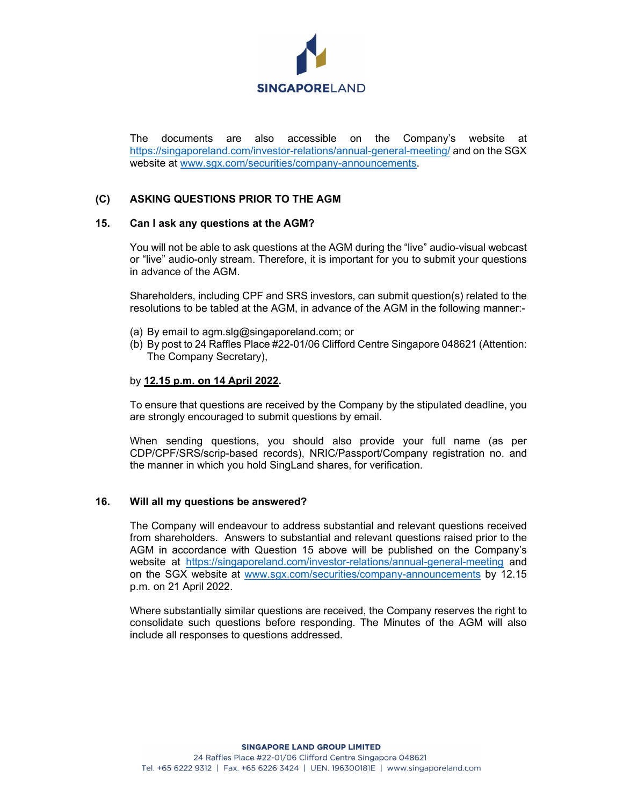

The documents are also accessible on the Company's website at https://singaporeland.com/investor-relations/annual-general-meeting/ and on the SGX website at www.sgx.com/securities/company-announcements.

## (C) ASKING QUESTIONS PRIOR TO THE AGM

#### 15. Can I ask any questions at the AGM?

You will not be able to ask questions at the AGM during the "live" audio-visual webcast or "live" audio-only stream. Therefore, it is important for you to submit your questions in advance of the AGM.

 Shareholders, including CPF and SRS investors, can submit question(s) related to the resolutions to be tabled at the AGM, in advance of the AGM in the following manner:-

- (a) By email to agm.slg@singaporeland.com; or
- (b) By post to 24 Raffles Place #22-01/06 Clifford Centre Singapore 048621 (Attention: The Company Secretary),

### by 12.15 p.m. on 14 April 2022.

To ensure that questions are received by the Company by the stipulated deadline, you are strongly encouraged to submit questions by email.

When sending questions, you should also provide your full name (as per CDP/CPF/SRS/scrip-based records), NRIC/Passport/Company registration no. and the manner in which you hold SingLand shares, for verification.

## 16. Will all my questions be answered?

The Company will endeavour to address substantial and relevant questions received from shareholders. Answers to substantial and relevant questions raised prior to the AGM in accordance with Question 15 above will be published on the Company's website at https://singaporeland.com/investor-relations/annual-general-meeting and on the SGX website at www.sgx.com/securities/company-announcements by 12.15 p.m. on 21 April 2022.

Where substantially similar questions are received, the Company reserves the right to consolidate such questions before responding. The Minutes of the AGM will also include all responses to questions addressed.